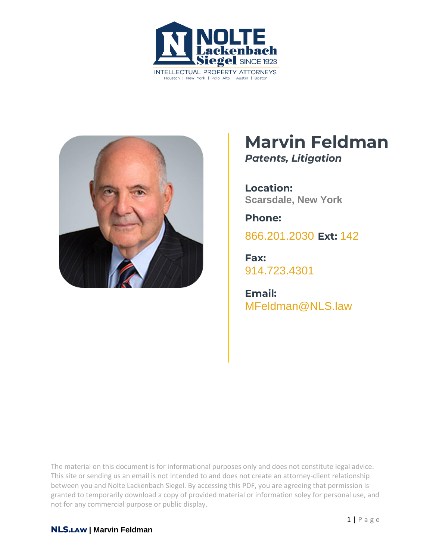



# **Marvin Feldman** *Patents, Litigation*

**Location: Scarsdale, New York**

**Phone:** [866.201.2030](tel:+1942629223) **Ext:** 142

**Fax:** [914.723.4301](tel:+19147234301)

**Email:** MFeldman@NLS.law

The material on this document is for informational purposes only and does not constitute legal advice. This site or sending us an email is not intended to and does not create an attorney-client relationship between you and Nolte Lackenbach Siegel. By accessing this PDF, you are agreeing that permission is granted to temporarily download a copy of provided material or information soley for personal use, and not for any commercial purpose or public display.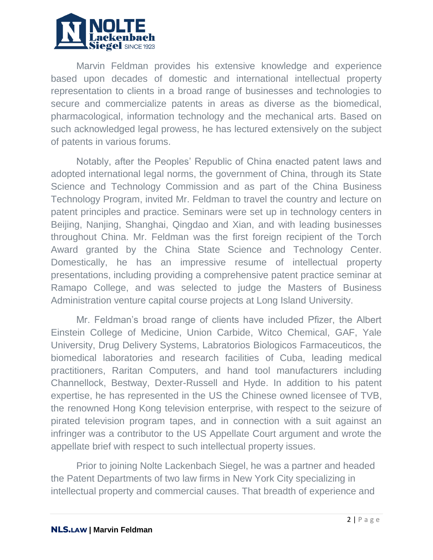

Marvin Feldman provides his extensive knowledge and experience based upon decades of domestic and international intellectual property representation to clients in a broad range of businesses and technologies to secure and commercialize patents in areas as diverse as the biomedical, pharmacological, information technology and the mechanical arts. Based on such acknowledged legal prowess, he has lectured extensively on the subject of patents in various forums.

Notably, after the Peoples' Republic of China enacted patent laws and adopted international legal norms, the government of China, through its State Science and Technology Commission and as part of the China Business Technology Program, invited Mr. Feldman to travel the country and lecture on patent principles and practice. Seminars were set up in technology centers in Beijing, Nanjing, Shanghai, Qingdao and Xian, and with leading businesses throughout China. Mr. Feldman was the first foreign recipient of the Torch Award granted by the China State Science and Technology Center. Domestically, he has an impressive resume of intellectual property presentations, including providing a comprehensive patent practice seminar at Ramapo College, and was selected to judge the Masters of Business Administration venture capital course projects at Long Island University.

Mr. Feldman's broad range of clients have included Pfizer, the Albert Einstein College of Medicine, Union Carbide, Witco Chemical, GAF, Yale University, Drug Delivery Systems, Labratorios Biologicos Farmaceuticos, the biomedical laboratories and research facilities of Cuba, leading medical practitioners, Raritan Computers, and hand tool manufacturers including Channellock, Bestway, Dexter-Russell and Hyde. In addition to his patent expertise, he has represented in the US the Chinese owned licensee of TVB, the renowned Hong Kong television enterprise, with respect to the seizure of pirated television program tapes, and in connection with a suit against an infringer was a contributor to the US Appellate Court argument and wrote the appellate brief with respect to such intellectual property issues.

Prior to joining Nolte Lackenbach Siegel, he was a partner and headed the Patent Departments of two law firms in New York City specializing in intellectual property and commercial causes. That breadth of experience and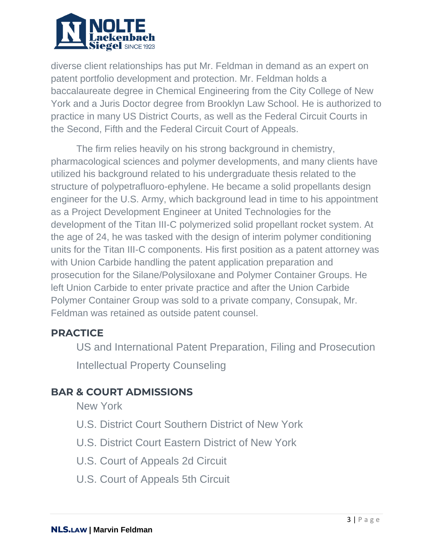

diverse client relationships has put Mr. Feldman in demand as an expert on patent portfolio development and protection. Mr. Feldman holds a baccalaureate degree in Chemical Engineering from the City College of New York and a Juris Doctor degree from Brooklyn Law School. He is authorized to practice in many US District Courts, as well as the Federal Circuit Courts in the Second, Fifth and the Federal Circuit Court of Appeals.

The firm relies heavily on his strong background in chemistry, pharmacological sciences and polymer developments, and many clients have utilized his background related to his undergraduate thesis related to the structure of polypetrafluoro-ephylene. He became a solid propellants design engineer for the U.S. Army, which background lead in time to his appointment as a Project Development Engineer at United Technologies for the development of the Titan III-C polymerized solid propellant rocket system. At the age of 24, he was tasked with the design of interim polymer conditioning units for the Titan III-C components. His first position as a patent attorney was with Union Carbide handling the patent application preparation and prosecution for the Silane/Polysiloxane and Polymer Container Groups. He left Union Carbide to enter private practice and after the Union Carbide Polymer Container Group was sold to a private company, Consupak, Mr. Feldman was retained as outside patent counsel.

### **PRACTICE**

US and International Patent Preparation, Filing and Prosecution

Intellectual Property Counseling

# **BAR & COURT ADMISSIONS**

New York

- U.S. District Court Southern District of New York
- U.S. District Court Eastern District of New York
- U.S. Court of Appeals 2d Circuit
- U.S. Court of Appeals 5th Circuit